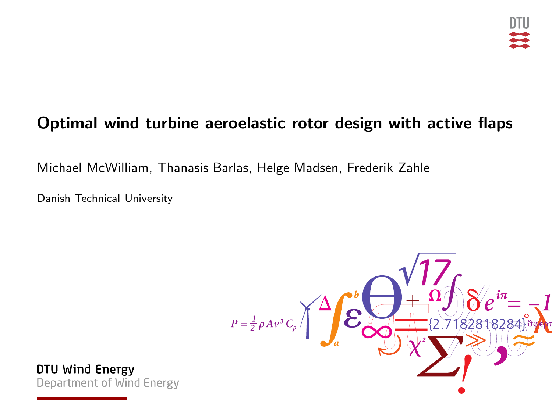# Optimal wind turbine aeroelastic rotor design with active flaps

Michael McWilliam, Thanasis Barlas, Helge Madsen, Frederik Zahle

Danish Technical University

$$
P=\frac{1}{2}\rho Av^{3}C_{p}\left(\frac{1}{2}\sum_{a}^{b}\frac{\sqrt{17}}{12.7182818288^{3}}\right)
$$

DTU Wind Energy Department of Wind Energy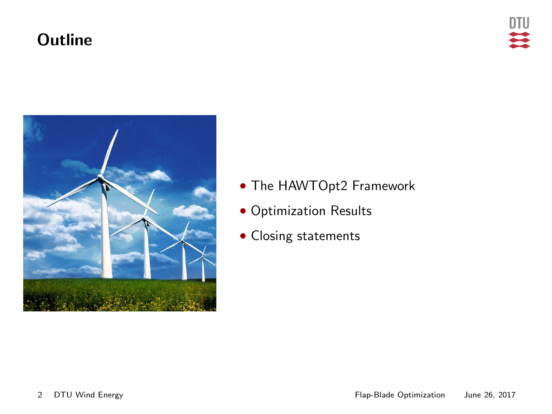#### **Outline**



- The HAWTOpt2 Framework
- Optimization Results
- Closing statements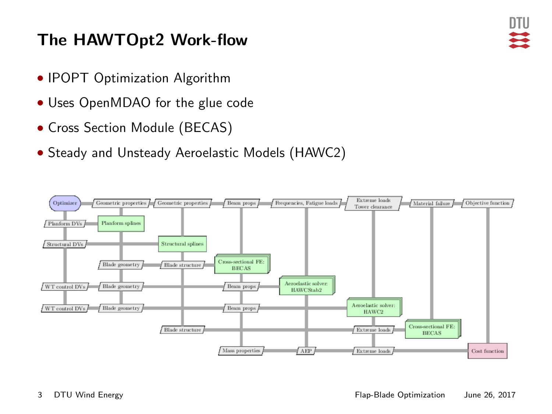# The HAWTOpt2 Work-flow

- IPOPT Optimization Algorithm
- Uses OpenMDAO for the glue code
- Cross Section Module (BECAS)
- Steady and Unsteady Aeroelastic Models (HAWC2)

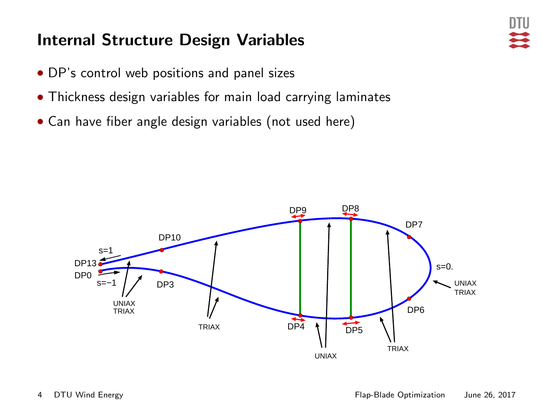### Internal Structure Design Variables

- DP's control web positions and panel sizes
- Thickness design variables for main load carrying laminates
- Can have fiber angle design variables (not used here)

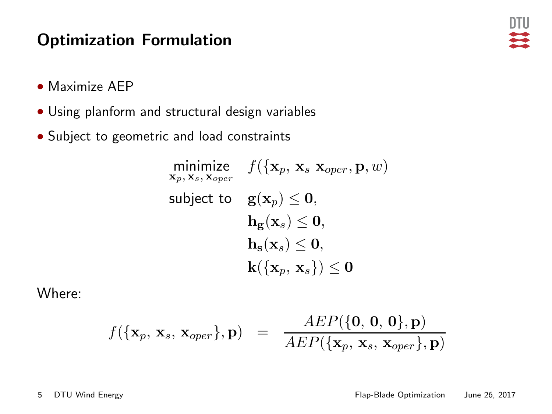#### Optimization Formulation

- Maximize AEP
- Using planform and structural design variables
- Subject to geometric and load constraints

$$
\begin{aligned} & \underset{\mathbf{x}_p,\mathbf{x}_s,\mathbf{x}_{oper}}{\text{minimize}} & & f(\{\mathbf{x}_p,\mathbf{x}_s|\mathbf{x}_{oper},\mathbf{p},w) \\ & \text{subject to} && \mathbf{g}(\mathbf{x}_p)\leq \mathbf{0}, \\ &&& \mathbf{h}_{\mathbf{g}}(\mathbf{x}_s)\leq \mathbf{0}, \\ &&& \mathbf{h}_{\mathbf{s}}(\mathbf{x}_s)\leq \mathbf{0}, \\ &&& \mathbf{k}(\{\mathbf{x}_p,\mathbf{x}_s\})\leq \mathbf{0} \end{aligned}
$$

Where:

$$
f(\{\mathbf{x}_p, \mathbf{x}_s, \mathbf{x}_{oper}\}, \mathbf{p}) = \frac{AEP(\{\mathbf{0}, \mathbf{0}, \mathbf{0}\}, \mathbf{p})}{AEP(\{\mathbf{x}_p, \mathbf{x}_s, \mathbf{x}_{oper}\}, \mathbf{p})}
$$

DTU 芸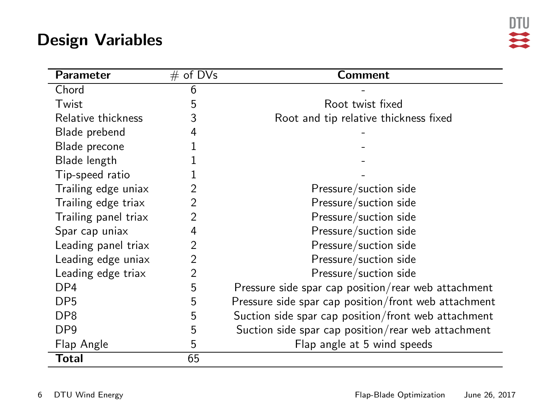#### Design Variables

| <b>Parameter</b>     | # of $D\overline{Vs}$ | Comment                                              |
|----------------------|-----------------------|------------------------------------------------------|
| Chord                | 6                     |                                                      |
| Twist                | 5                     | Root twist fixed                                     |
| Relative thickness   | 3                     | Root and tip relative thickness fixed                |
| Blade prebend        | 4                     |                                                      |
| Blade precone        |                       |                                                      |
| Blade length         |                       |                                                      |
| Tip-speed ratio      |                       |                                                      |
| Trailing edge uniax  | 2                     | Pressure/suction side                                |
| Trailing edge triax  | 2                     | Pressure/suction side                                |
| Trailing panel triax | 2                     | Pressure/suction side                                |
| Spar cap uniax       | 4                     | Pressure/suction side                                |
| Leading panel triax  | 2                     | Pressure/suction side                                |
| Leading edge uniax   | $\overline{2}$        | Pressure/suction side                                |
| Leading edge triax   | $\overline{2}$        | Pressure/suction side                                |
| DP4                  | 5                     | Pressure side spar cap position/rear web attachment  |
| DP <sub>5</sub>      | 5                     | Pressure side spar cap position/front web attachment |
| DP <sub>8</sub>      | 5                     | Suction side spar cap position/front web attachment  |
| DP <sub>9</sub>      | 5                     | Suction side spar cap position/rear web attachment   |
| Flap Angle           | 5                     | Flap angle at 5 wind speeds                          |
| <b>Total</b>         | 65                    |                                                      |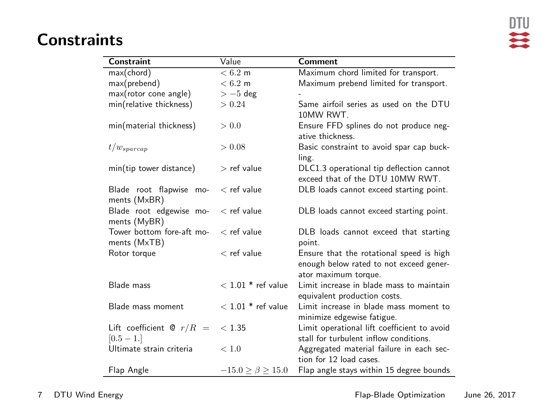# 一定

#### **Constraints**

| Constraint                 | Value                       | Comment                                     |
|----------------------------|-----------------------------|---------------------------------------------|
| max(chord)                 | $\overline{<}6.2 \text{ m}$ | Maximum chord limited for transport.        |
| max(prebend)               | < 6.2 m                     | Maximum prebend limited for transport.      |
| max(rotor cone angle)      | $>-5$ deg                   |                                             |
| min(relative thickness)    | > 0.24                      | Same airfoil series as used on the DTU      |
|                            |                             | 10MW RWT.                                   |
| min(material thickness)    | > 0.0                       | Ensure FFD splines do not produce neg-      |
|                            |                             | ative thickness.                            |
| $t/w_{\text{sparcap}}$     | > 0.08                      | Basic constraint to avoid spar cap buck-    |
|                            |                             | ling.                                       |
| min(tip tower distance)    | $>$ ref value               | DLC1.3 operational tip deflection cannot    |
|                            |                             | exceed that of the DTU 10MW RWT.            |
| Blade root flapwise mo-    | $<$ ref value               | DLB loads cannot exceed starting point.     |
| ments (MxBR)               |                             |                                             |
| Blade root edgewise mo-    | $<$ ref value               | DLB loads cannot exceed starting point.     |
| ments (MyBR)               |                             |                                             |
| Tower bottom fore-aft mo-  | $<$ ref value               | DLB loads cannot exceed that starting       |
| ments (MxTB)               |                             | point.                                      |
| Rotor torque               | $<$ ref value               | Ensure that the rotational speed is high    |
|                            |                             | enough below rated to not exceed gener-     |
|                            |                             | ator maximum torque.                        |
| Blade mass                 | $<$ 1.01 $*$ ref value      | Limit increase in blade mass to maintain    |
|                            |                             | equivalent production costs.                |
| Blade mass moment          | $<$ 1.01 $*$ ref value      | Limit increase in blade mass moment to      |
|                            |                             | minimize edgewise fatigue.                  |
| Lift coefficient @ $r/R =$ | < 1.35                      | Limit operational lift coefficient to avoid |
| $[0.5 - 1.]$               |                             | stall for turbulent inflow conditions.      |
| Ultimate strain criteria   | < 1.0                       | Aggregated material failure in each sec-    |
|                            |                             | tion for 12 load cases.                     |
| Flap Angle                 | $-15.0 > \beta > 15.0$      | Flap angle stays within 15 degree bounds    |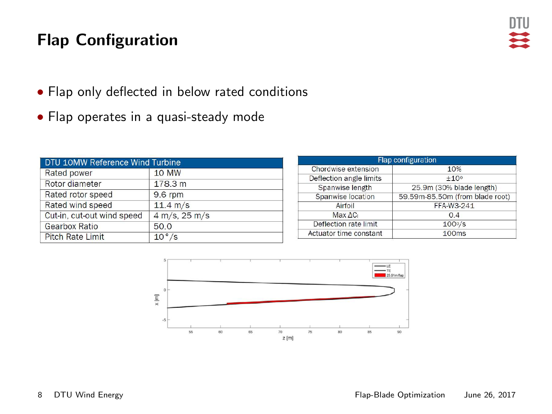# Flap Configuration



- Flap only deflected in below rated conditions
- Flap operates in a quasi-steady mode

| DTU 10MW Reference Wind Turbine |                  |  |  |  |
|---------------------------------|------------------|--|--|--|
| Rated power                     | <b>10 MW</b>     |  |  |  |
| Rotor diameter                  | 178.3 m          |  |  |  |
| Rated rotor speed               | 9.6 rpm          |  |  |  |
| Rated wind speed                | 11.4 m/s         |  |  |  |
| Cut-in, cut-out wind speed      | $4 m/s$ , 25 m/s |  |  |  |
| Gearbox Ratio                   | 50.0             |  |  |  |
| <b>Pitch Rate Limit</b>         | $10^{\circ}/s$   |  |  |  |

| <b>Flap configuration</b> |                                 |  |  |
|---------------------------|---------------------------------|--|--|
| Chordwise extension       | 10%                             |  |  |
| Deflection angle limits   | $+10o$                          |  |  |
| Spanwise length           | 25.9m (30% blade length)        |  |  |
| Spanwise location         | 59,59m-85,50m (from blade root) |  |  |
| Airfoil                   | FFA-W3-241                      |  |  |
| Max AC <sub>i</sub>       | 0.4                             |  |  |
| Deflection rate limit     | $100\frac{v}{s}$                |  |  |
| Actuator time constant    | 100ms                           |  |  |
|                           |                                 |  |  |

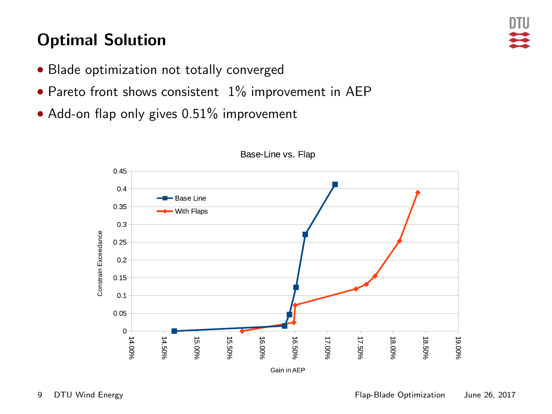# Optimal Solution

- Blade optimization not totally converged
- Pareto front shows consistent 1% improvement in AEP
- Add-on flap only gives 0.51% improvement



Base Line vs. Flan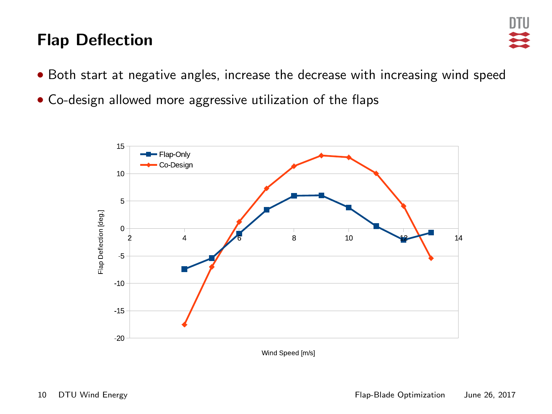### Flap Deflection



- Both start at negative angles, increase the decrease with increasing wind speed
- Co-design allowed more aggressive utilization of the flaps

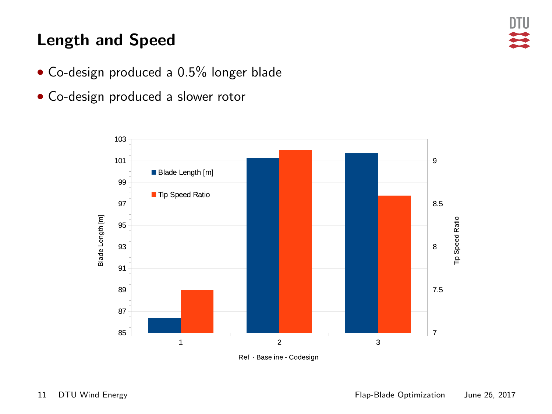## Length and Speed

- Co-design produced a 0.5% longer blade
- Co-design produced a slower rotor



Ref Baseline Codesign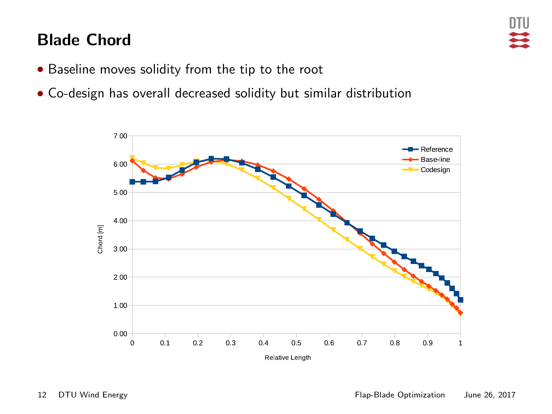### Blade Chord



- Baseline moves solidity from the tip to the root
- Co-design has overall decreased solidity but similar distribution

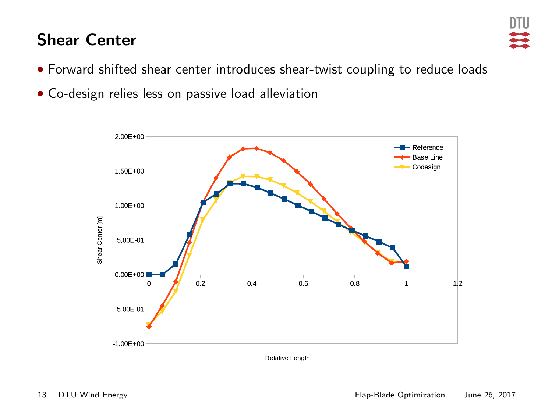#### Shear Center



- Forward shifted shear center introduces shear-twist coupling to reduce loads
- Co-design relies less on passive load alleviation



Relative Length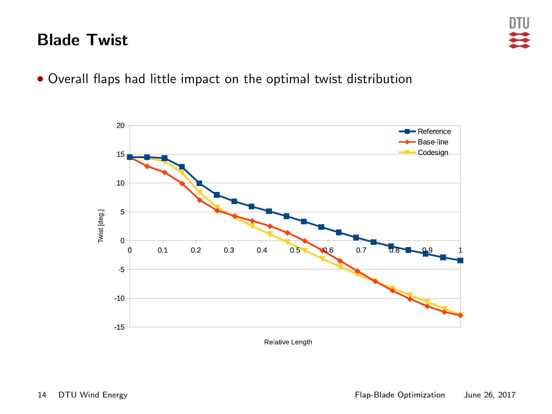#### Blade Twist

• Overall flaps had little impact on the optimal twist distribution

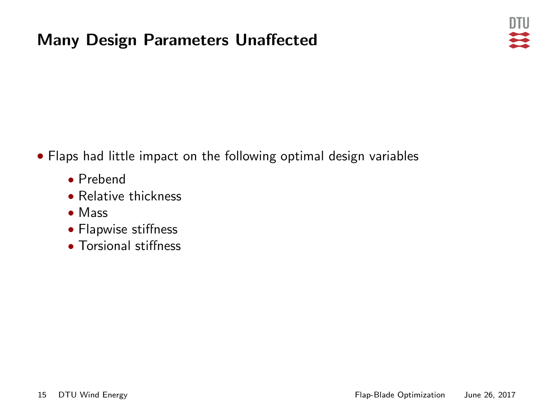### Many Design Parameters Unaffected



• Flaps had little impact on the following optimal design variables

- Prebend
- Relative thickness
- Mass
- Flapwise stiffness
- Torsional stiffness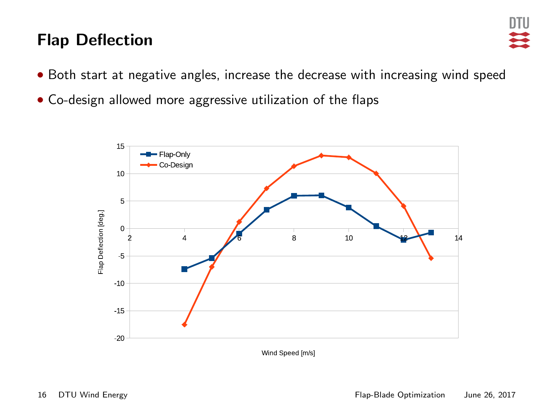### Flap Deflection



- Both start at negative angles, increase the decrease with increasing wind speed
- Co-design allowed more aggressive utilization of the flaps

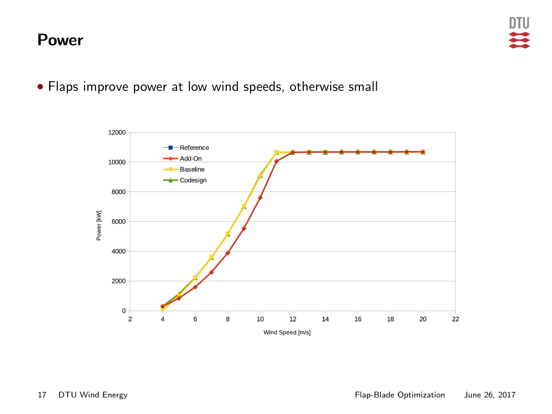#### Power



• Flaps improve power at low wind speeds, otherwise small

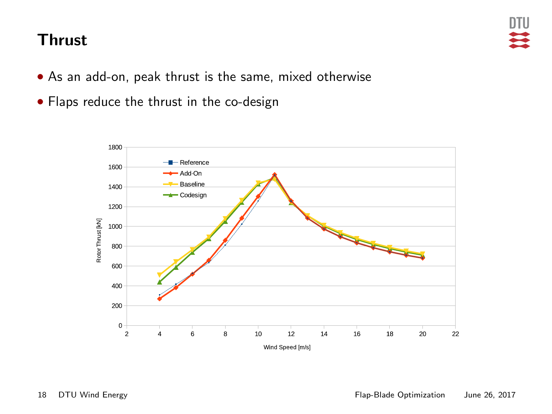#### Thrust

- As an add-on, peak thrust is the same, mixed otherwise
- Flaps reduce the thrust in the co-design

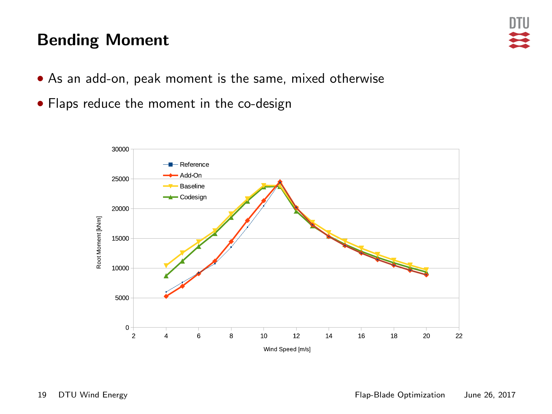#### Bending Moment

- As an add-on, peak moment is the same, mixed otherwise
- Flaps reduce the moment in the co-design

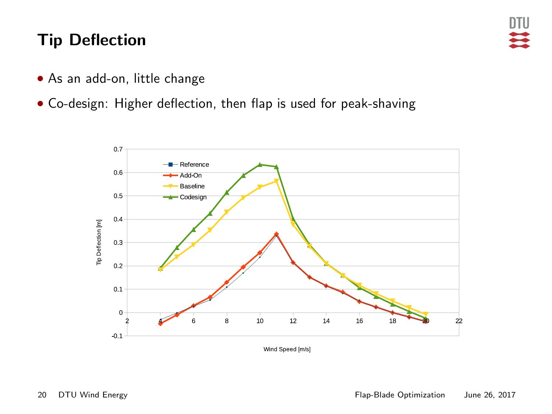#### Tip Deflection

- As an add-on, little change
- Co-design: Higher deflection, then flap is used for peak-shaving



Wind Speed [m/s]

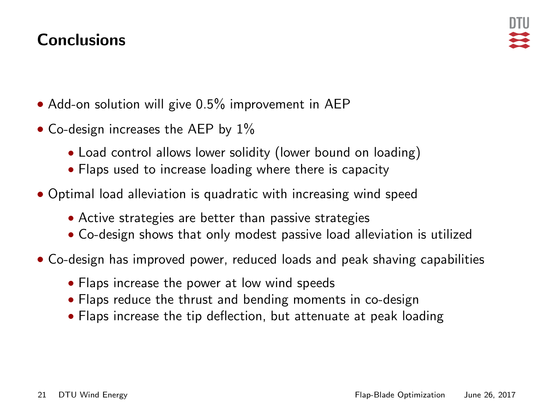#### **Conclusions**

- Add-on solution will give 0.5% improvement in AEP
- Co-design increases the AEP by  $1\%$ 
	- Load control allows lower solidity (lower bound on loading)
	- Flaps used to increase loading where there is capacity
- Optimal load alleviation is quadratic with increasing wind speed
	- Active strategies are better than passive strategies
	- Co-design shows that only modest passive load alleviation is utilized
- Co-design has improved power, reduced loads and peak shaving capabilities
	- Flaps increase the power at low wind speeds
	- Flaps reduce the thrust and bending moments in co-design
	- Flaps increase the tip deflection, but attenuate at peak loading